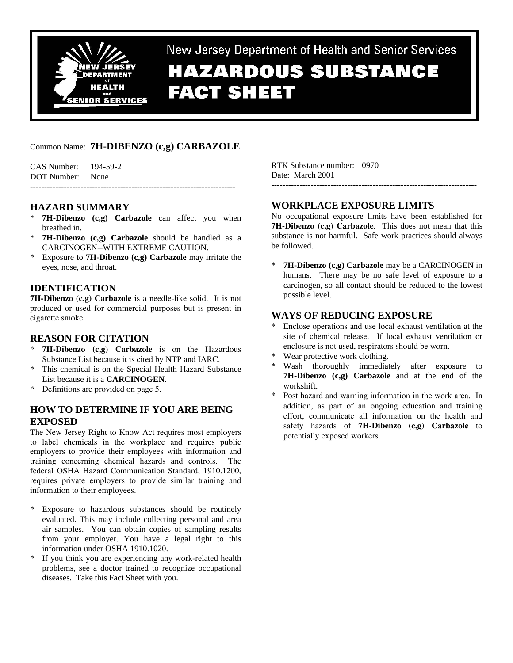

New Jersey Department of Health and Senior Services

# **HAZARDOUS SUBSTANCE FACT SHEET**

# Common Name: **7H-DIBENZO (c,g) CARBAZOLE**

CAS Number: 194-59-2 DOT Number: None -------------------------------------------------------------------------

# **HAZARD SUMMARY**

- \* **7H-Dibenzo (c,g) Carbazole** can affect you when breathed in.
- 7H-Dibenzo (c,g) Carbazole should be handled as a CARCINOGEN--WITH EXTREME CAUTION.
- \* Exposure to **7H-Dibenzo (c,g) Carbazole** may irritate the eyes, nose, and throat.

# **IDENTIFICATION**

**7H-Dibenzo (c,g) Carbazole** is a needle-like solid. It is not produced or used for commercial purposes but is present in cigarette smoke.

## **REASON FOR CITATION**

- \* **7H-Dibenzo (c,g) Carbazole** is on the Hazardous Substance List because it is cited by NTP and IARC.
- \* This chemical is on the Special Health Hazard Substance List because it is a **CARCINOGEN**.
- \* Definitions are provided on page 5.

# **HOW TO DETERMINE IF YOU ARE BEING EXPOSED**

The New Jersey Right to Know Act requires most employers to label chemicals in the workplace and requires public employers to provide their employees with information and training concerning chemical hazards and controls. The federal OSHA Hazard Communication Standard, 1910.1200, requires private employers to provide similar training and information to their employees.

- \* Exposure to hazardous substances should be routinely evaluated. This may include collecting personal and area air samples. You can obtain copies of sampling results from your employer. You have a legal right to this information under OSHA 1910.1020.
- \* If you think you are experiencing any work-related health problems, see a doctor trained to recognize occupational diseases. Take this Fact Sheet with you.

RTK Substance number: 0970 Date: March 2001

-------------------------------------------------------------------------

# **WORKPLACE EXPOSURE LIMITS**

No occupational exposure limits have been established for **7H-Dibenzo (c,g) Carbazole**. This does not mean that this substance is not harmful. Safe work practices should always be followed.

**7H-Dibenzo (c,g) Carbazole** may be a CARCINOGEN in humans. There may be no safe level of exposure to a carcinogen, so all contact should be reduced to the lowest possible level.

# **WAYS OF REDUCING EXPOSURE**

- Enclose operations and use local exhaust ventilation at the site of chemical release. If local exhaust ventilation or enclosure is not used, respirators should be worn.
- Wear protective work clothing.
- Wash thoroughly immediately after exposure to **7H-Dibenzo (c,g) Carbazole** and at the end of the workshift.
- Post hazard and warning information in the work area. In addition, as part of an ongoing education and training effort, communicate all information on the health and safety hazards of **7H-Dibenzo (c,g) Carbazole** to potentially exposed workers.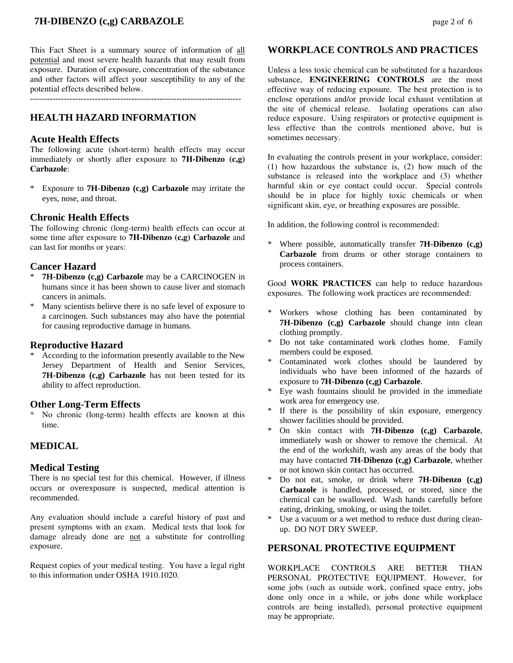This Fact Sheet is a summary source of information of all potential and most severe health hazards that may result from exposure. Duration of exposure, concentration of the substance and other factors will affect your susceptibility to any of the potential effects described below.

 $-$ 

# **HEALTH HAZARD INFORMATION**

## **Acute Health Effects**

The following acute (short-term) health effects may occur immediately or shortly after exposure to **7H-Dibenzo (c,g) Carbazole**:

\* Exposure to **7H-Dibenzo (c,g) Carbazole** may irritate the eyes, nose, and throat.

## **Chronic Health Effects**

The following chronic (long-term) health effects can occur at some time after exposure to **7H-Dibenzo (c,g) Carbazole** and can last for months or years:

## **Cancer Hazard**

- **7H-Dibenzo (c,g) Carbazole** may be a CARCINOGEN in humans since it has been shown to cause liver and stomach cancers in animals.
- Many scientists believe there is no safe level of exposure to a carcinogen. Such substances may also have the potential for causing reproductive damage in humans.

## **Reproductive Hazard**

According to the information presently available to the New Jersey Department of Health and Senior Services, **7H-Dibenzo (c,g) Carbazole** has not been tested for its ability to affect reproduction.

#### **Other Long-Term Effects**

No chronic (long-term) health effects are known at this time.

## **MEDICAL**

#### **Medical Testing**

There is no special test for this chemical. However, if illness occurs or overexposure is suspected, medical attention is recommended.

Any evaluation should include a careful history of past and present symptoms with an exam. Medical tests that look for damage already done are not a substitute for controlling exposure.

Request copies of your medical testing. You have a legal right to this information under OSHA 1910.1020.

## **WORKPLACE CONTROLS AND PRACTICES**

Unless a less toxic chemical can be substituted for a hazardous substance, **ENGINEERING CONTROLS** are the most effective way of reducing exposure. The best protection is to enclose operations and/or provide local exhaust ventilation at the site of chemical release. Isolating operations can also reduce exposure. Using respirators or protective equipment is less effective than the controls mentioned above, but is sometimes necessary.

In evaluating the controls present in your workplace, consider: (1) how hazardous the substance is, (2) how much of the substance is released into the workplace and (3) whether harmful skin or eye contact could occur. Special controls should be in place for highly toxic chemicals or when significant skin, eye, or breathing exposures are possible.

In addition, the following control is recommended:

\* Where possible, automatically transfer **7H-Dibenzo (c,g) Carbazole** from drums or other storage containers to process containers.

Good **WORK PRACTICES** can help to reduce hazardous exposures. The following work practices are recommended:

- \* Workers whose clothing has been contaminated by **7H-Dibenzo (c,g) Carbazole** should change into clean clothing promptly.
- \* Do not take contaminated work clothes home. Family members could be exposed.
- Contaminated work clothes should be laundered by individuals who have been informed of the hazards of exposure to **7H-Dibenzo (c,g) Carbazole**.
- \* Eye wash fountains should be provided in the immediate work area for emergency use.
- \* If there is the possibility of skin exposure, emergency shower facilities should be provided.
- On skin contact with **7H-Dibenzo** (c,g) Carbazole, immediately wash or shower to remove the chemical. At the end of the workshift, wash any areas of the body that may have contacted **7H-Dibenzo (c,g) Carbazole**, whether or not known skin contact has occurred.
- Do not eat, smoke, or drink where **7H-Dibenzo** (c,g) **Carbazole** is handled, processed, or stored, since the chemical can be swallowed. Wash hands carefully before eating, drinking, smoking, or using the toilet.
- Use a vacuum or a wet method to reduce dust during cleanup. DO NOT DRY SWEEP.

## **PERSONAL PROTECTIVE EQUIPMENT**

WORKPLACE CONTROLS ARE BETTER THAN PERSONAL PROTECTIVE EQUIPMENT. However, for some jobs (such as outside work, confined space entry, jobs done only once in a while, or jobs done while workplace controls are being installed), personal protective equipment may be appropriate.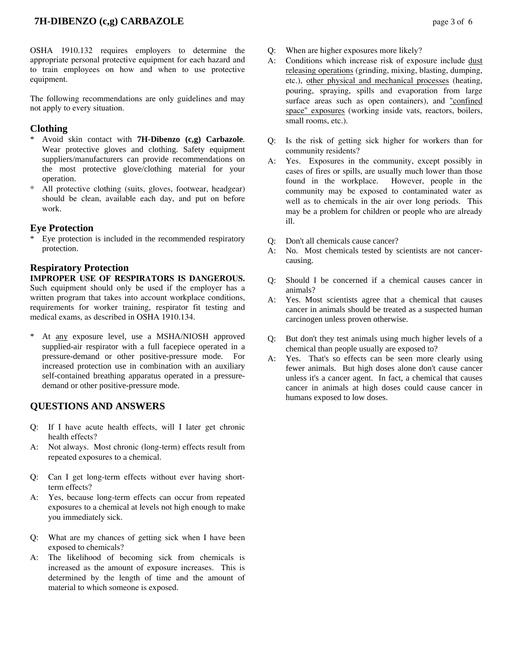# **7H-DIBENZO (c,g) CARBAZOLE** page 3 of 6

OSHA 1910.132 requires employers to determine the appropriate personal protective equipment for each hazard and to train employees on how and when to use protective equipment.

The following recommendations are only guidelines and may not apply to every situation.

# **Clothing**

- \* Avoid skin contact with **7H-Dibenzo (c,g) Carbazole**. Wear protective gloves and clothing. Safety equipment suppliers/manufacturers can provide recommendations on the most protective glove/clothing material for your operation.
- \* All protective clothing (suits, gloves, footwear, headgear) should be clean, available each day, and put on before work.

## **Eye Protection**

Eye protection is included in the recommended respiratory protection.

## **Respiratory Protection**

**IMPROPER USE OF RESPIRATORS IS DANGEROUS.** Such equipment should only be used if the employer has a written program that takes into account workplace conditions, requirements for worker training, respirator fit testing and medical exams, as described in OSHA 1910.134.

At any exposure level, use a MSHA/NIOSH approved supplied-air respirator with a full facepiece operated in a pressure-demand or other positive-pressure mode. For increased protection use in combination with an auxiliary self-contained breathing apparatus operated in a pressuredemand or other positive-pressure mode.

## **QUESTIONS AND ANSWERS**

- Q: If I have acute health effects, will I later get chronic health effects?
- A: Not always. Most chronic (long-term) effects result from repeated exposures to a chemical.
- Q: Can I get long-term effects without ever having shortterm effects?
- A: Yes, because long-term effects can occur from repeated exposures to a chemical at levels not high enough to make you immediately sick.
- Q: What are my chances of getting sick when I have been exposed to chemicals?
- A: The likelihood of becoming sick from chemicals is increased as the amount of exposure increases. This is determined by the length of time and the amount of material to which someone is exposed.
- Q: When are higher exposures more likely?
- A: Conditions which increase risk of exposure include dust releasing operations (grinding, mixing, blasting, dumping, etc.), other physical and mechanical processes (heating, pouring, spraying, spills and evaporation from large surface areas such as open containers), and "confined space" exposures (working inside vats, reactors, boilers, small rooms, etc.).
- Q: Is the risk of getting sick higher for workers than for community residents?
- A: Yes. Exposures in the community, except possibly in cases of fires or spills, are usually much lower than those found in the workplace. However, people in the community may be exposed to contaminated water as well as to chemicals in the air over long periods. This may be a problem for children or people who are already ill.
- Q: Don't all chemicals cause cancer?
- A: No. Most chemicals tested by scientists are not cancercausing.
- Q: Should I be concerned if a chemical causes cancer in animals?
- A: Yes. Most scientists agree that a chemical that causes cancer in animals should be treated as a suspected human carcinogen unless proven otherwise.
- Q: But don't they test animals using much higher levels of a chemical than people usually are exposed to?
- A: Yes. That's so effects can be seen more clearly using fewer animals. But high doses alone don't cause cancer unless it's a cancer agent. In fact, a chemical that causes cancer in animals at high doses could cause cancer in humans exposed to low doses.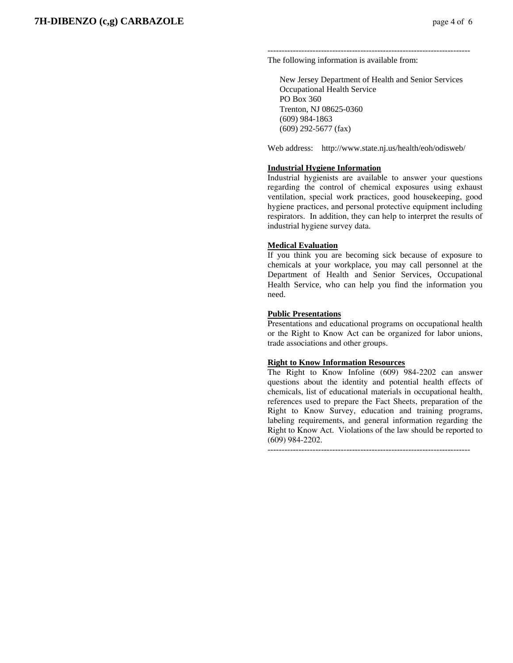------------------------------------------------------------------------ The following information is available from:

 New Jersey Department of Health and Senior Services Occupational Health Service PO Box 360 Trenton, NJ 08625-0360 (609) 984-1863 (609) 292-5677 (fax)

Web address: http://www.state.nj.us/health/eoh/odisweb/

#### **Industrial Hygiene Information**

Industrial hygienists are available to answer your questions regarding the control of chemical exposures using exhaust ventilation, special work practices, good housekeeping, good hygiene practices, and personal protective equipment including respirators. In addition, they can help to interpret the results of industrial hygiene survey data.

#### **Medical Evaluation**

If you think you are becoming sick because of exposure to chemicals at your workplace, you may call personnel at the Department of Health and Senior Services, Occupational Health Service, who can help you find the information you need.

#### **Public Presentations**

Presentations and educational programs on occupational health or the Right to Know Act can be organized for labor unions, trade associations and other groups.

#### **Right to Know Information Resources**

The Right to Know Infoline (609) 984-2202 can answer questions about the identity and potential health effects of chemicals, list of educational materials in occupational health, references used to prepare the Fact Sheets, preparation of the Right to Know Survey, education and training programs, labeling requirements, and general information regarding the Right to Know Act. Violations of the law should be reported to (609) 984-2202.

------------------------------------------------------------------------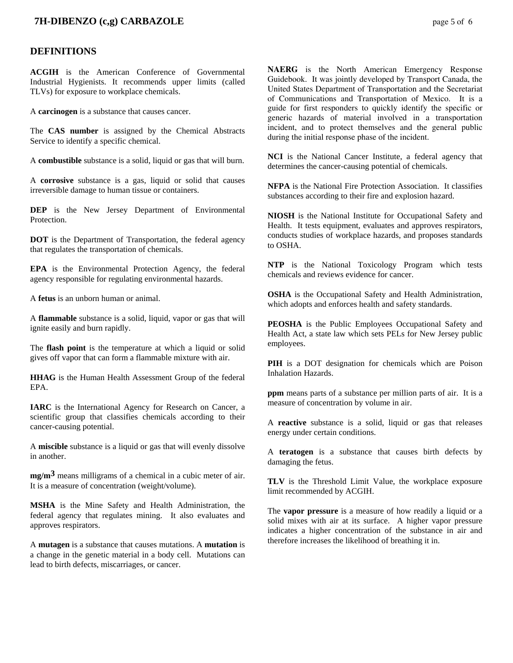# **7H-DIBENZO (c,g) CARBAZOLE** page 5 of 6

## **DEFINITIONS**

**ACGIH** is the American Conference of Governmental Industrial Hygienists. It recommends upper limits (called TLVs) for exposure to workplace chemicals.

A **carcinogen** is a substance that causes cancer.

The **CAS number** is assigned by the Chemical Abstracts Service to identify a specific chemical.

A **combustible** substance is a solid, liquid or gas that will burn.

A **corrosive** substance is a gas, liquid or solid that causes irreversible damage to human tissue or containers.

**DEP** is the New Jersey Department of Environmental **Protection** 

**DOT** is the Department of Transportation, the federal agency that regulates the transportation of chemicals.

**EPA** is the Environmental Protection Agency, the federal agency responsible for regulating environmental hazards.

A **fetus** is an unborn human or animal.

A **flammable** substance is a solid, liquid, vapor or gas that will ignite easily and burn rapidly.

The **flash point** is the temperature at which a liquid or solid gives off vapor that can form a flammable mixture with air.

**HHAG** is the Human Health Assessment Group of the federal EPA.

**IARC** is the International Agency for Research on Cancer, a scientific group that classifies chemicals according to their cancer-causing potential.

A **miscible** substance is a liquid or gas that will evenly dissolve in another.

**mg/m3** means milligrams of a chemical in a cubic meter of air. It is a measure of concentration (weight/volume).

**MSHA** is the Mine Safety and Health Administration, the federal agency that regulates mining. It also evaluates and approves respirators.

A **mutagen** is a substance that causes mutations. A **mutation** is a change in the genetic material in a body cell. Mutations can lead to birth defects, miscarriages, or cancer.

**NAERG** is the North American Emergency Response Guidebook. It was jointly developed by Transport Canada, the United States Department of Transportation and the Secretariat of Communications and Transportation of Mexico. It is a guide for first responders to quickly identify the specific or generic hazards of material involved in a transportation incident, and to protect themselves and the general public during the initial response phase of the incident.

**NCI** is the National Cancer Institute, a federal agency that determines the cancer-causing potential of chemicals.

**NFPA** is the National Fire Protection Association. It classifies substances according to their fire and explosion hazard.

**NIOSH** is the National Institute for Occupational Safety and Health. It tests equipment, evaluates and approves respirators, conducts studies of workplace hazards, and proposes standards to OSHA.

**NTP** is the National Toxicology Program which tests chemicals and reviews evidence for cancer.

**OSHA** is the Occupational Safety and Health Administration, which adopts and enforces health and safety standards.

**PEOSHA** is the Public Employees Occupational Safety and Health Act, a state law which sets PELs for New Jersey public employees.

**PIH** is a DOT designation for chemicals which are Poison Inhalation Hazards.

**ppm** means parts of a substance per million parts of air. It is a measure of concentration by volume in air.

A **reactive** substance is a solid, liquid or gas that releases energy under certain conditions.

A **teratogen** is a substance that causes birth defects by damaging the fetus.

**TLV** is the Threshold Limit Value, the workplace exposure limit recommended by ACGIH.

The **vapor pressure** is a measure of how readily a liquid or a solid mixes with air at its surface. A higher vapor pressure indicates a higher concentration of the substance in air and therefore increases the likelihood of breathing it in.